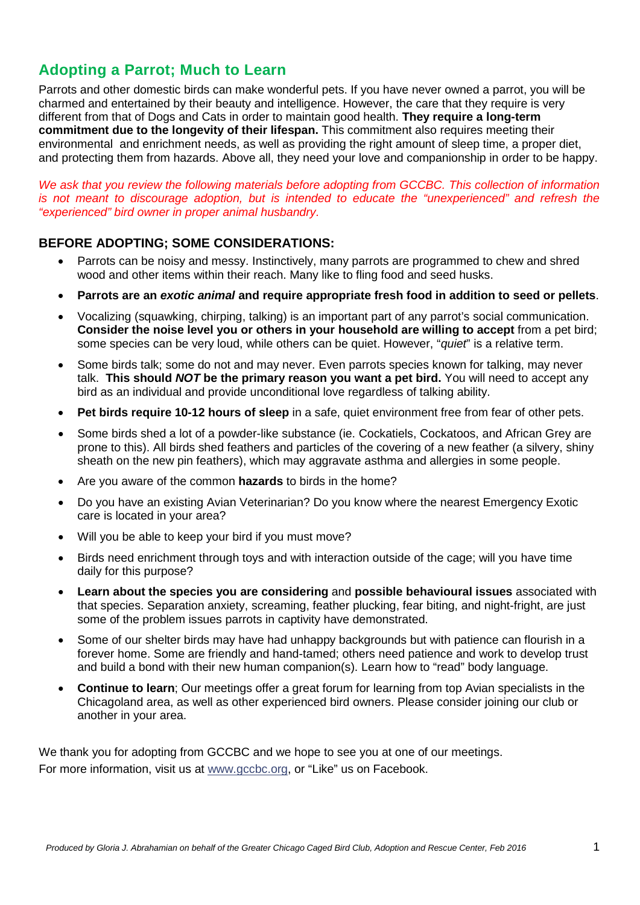### **Adopting a Parrot; Much to Learn**

Parrots and other domestic birds can make wonderful pets. If you have never owned a parrot, you will be charmed and entertained by their beauty and intelligence. However, the care that they require is very different from that of Dogs and Cats in order to maintain good health. **They require a long-term commitment due to the longevity of their lifespan.** This commitment also requires meeting their environmental and enrichment needs, as well as providing the right amount of sleep time, a proper diet, and protecting them from hazards. Above all, they need your love and companionship in order to be happy.

*We ask that you review the following materials before adopting from GCCBC. This collection of information is not meant to discourage adoption, but is intended to educate the "unexperienced" and refresh the "experienced" bird owner in proper animal husbandry.*

#### **BEFORE ADOPTING; SOME CONSIDERATIONS:**

- Parrots can be noisy and messy. Instinctively, many parrots are programmed to chew and shred wood and other items within their reach. Many like to fling food and seed husks.
- **Parrots are an** *exotic animal* **and require appropriate fresh food in addition to seed or pellets**.
- Vocalizing (squawking, chirping, talking) is an important part of any parrot's social communication. **Consider the noise level you or others in your household are willing to accept** from a pet bird; some species can be very loud, while others can be quiet. However, "*quiet*" is a relative term.
- Some birds talk; some do not and may never. Even parrots species known for talking, may never talk. **This should** *NOT* **be the primary reason you want a pet bird.** You will need to accept any bird as an individual and provide unconditional love regardless of talking ability.
- **Pet birds require 10-12 hours of sleep** in a safe, quiet environment free from fear of other pets.
- Some birds shed a lot of a powder-like substance (ie. Cockatiels, Cockatoos, and African Grey are prone to this). All birds shed feathers and particles of the covering of a new feather (a silvery, shiny sheath on the new pin feathers), which may aggravate asthma and allergies in some people.
- Are you aware of the common **hazards** to birds in the home?
- Do you have an existing Avian Veterinarian? Do you know where the nearest Emergency Exotic care is located in your area?
- Will you be able to keep your bird if you must move?
- Birds need enrichment through toys and with interaction outside of the cage; will you have time daily for this purpose?
- **Learn about the species you are considering** and **possible behavioural issues** associated with that species. Separation anxiety, screaming, feather plucking, fear biting, and night-fright, are just some of the problem issues parrots in captivity have demonstrated.
- Some of our shelter birds may have had unhappy backgrounds but with patience can flourish in a forever home. Some are friendly and hand-tamed; others need patience and work to develop trust and build a bond with their new human companion(s). Learn how to "read" body language.
- **Continue to learn**; Our meetings offer a great forum for learning from top Avian specialists in the Chicagoland area, as well as other experienced bird owners. Please consider joining our club or another in your area.

We thank you for adopting from GCCBC and we hope to see you at one of our meetings. For more information, visit us at [www.gccbc.org,](http://www.gccbc.org/) or "Like" us on Facebook.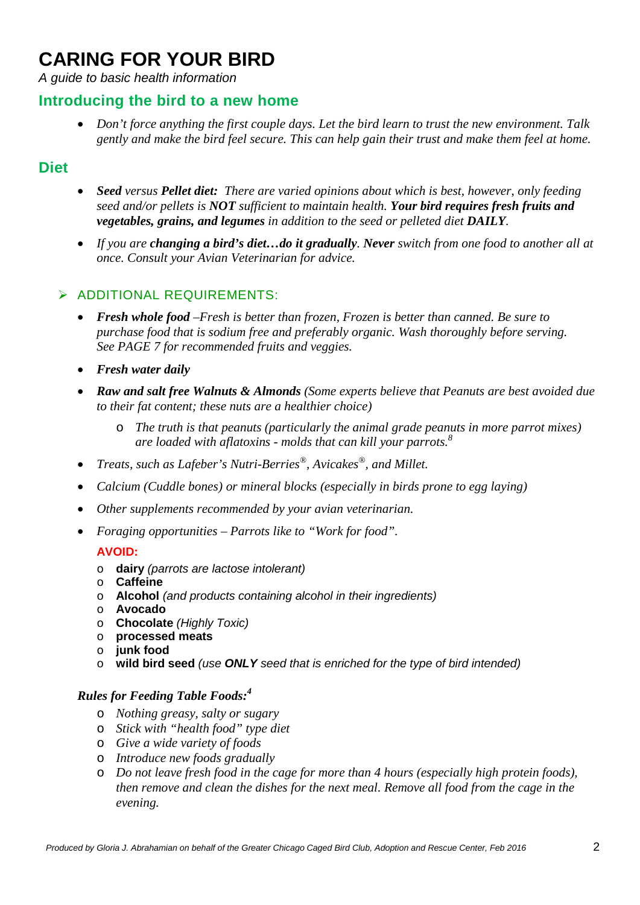# **CARING FOR YOUR BIRD**

*A guide to basic health information*

#### **Introducing the bird to a new home**

• *Don't force anything the first couple days. Let the bird learn to trust the new environment. Talk gently and make the bird feel secure. This can help gain their trust and make them feel at home.*

#### **Diet**

- *Seed versus Pellet diet: There are varied opinions about which is best, however, only feeding seed and/or pellets is NOT sufficient to maintain health. Your bird requires fresh fruits and vegetables, grains, and legumes in addition to the seed or pelleted diet DAILY.*
- *If you are changing a bird's diet…do it gradually. Never switch from one food to another all at once. Consult your Avian Veterinarian for advice.*

#### > ADDITIONAL REQUIREMENTS:

- *Fresh whole food –Fresh is better than frozen, Frozen is better than canned. Be sure to purchase food that is sodium free and preferably organic. Wash thoroughly before serving. See PAGE 7 for recommended fruits and veggies.*
- *Fresh water daily*
- *Raw and salt free Walnuts & Almonds (Some experts believe that Peanuts are best avoided due to their fat content; these nuts are a healthier choice)*
	- o *The truth is that peanuts (particularly the animal grade peanuts in more parrot mixes) are loaded with aflatoxins - molds that can kill your parrots.8*
- *Treats, such as Lafeber's Nutri-Berries®, Avicakes®, and Millet.*
- *Calcium (Cuddle bones) or mineral blocks (especially in birds prone to egg laying)*
- *Other supplements recommended by your avian veterinarian.*
- *Foraging opportunities – Parrots like to "Work for food".*

#### **AVOID:**

- o **dairy** *(parrots are lactose intolerant)*
- o **Caffeine**
- o **Alcohol** *(and products containing alcohol in their ingredients)*
- o **Avocado**
- o **Chocolate** *(Highly Toxic)*
- o **processed meats**
- o **junk food**
- o **wild bird seed** *(use ONLY seed that is enriched for the type of bird intended)*

#### *Rules for Feeding Table Foods:4*

- o *Nothing greasy, salty or sugary*
- o *Stick with "health food" type diet*
- o *Give a wide variety of foods*
- o *Introduce new foods gradually*
- o *Do not leave fresh food in the cage for more than 4 hours (especially high protein foods), then remove and clean the dishes for the next meal. Remove all food from the cage in the evening.*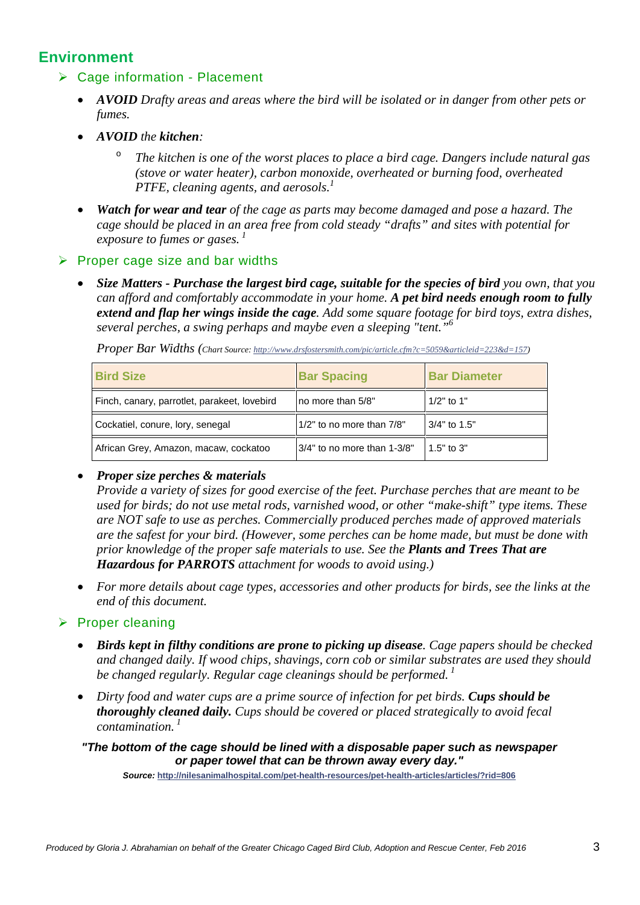### **Environment**

#### Cage information - Placement

- *AVOID Drafty areas and areas where the bird will be isolated or in danger from other pets or fumes.*
- *AVOID the kitchen:*
	- The kitchen is one of the worst places to place a bird cage. Dangers include natural gas *(stove or water heater), carbon monoxide, overheated or burning food, overheated PTFE, cleaning agents, and aerosols.*<sup>1</sup>
- *Watch for wear and tear of the cage as parts may become damaged and pose a hazard. The cage should be placed in an area free from cold steady "drafts" and sites with potential for exposure to fumes or gases. <sup>1</sup>*

#### $\triangleright$  Proper cage size and bar widths

• *Size Matters - Purchase the largest bird cage, suitable for the species of bird you own, that you can afford and comfortably accommodate in your home. A pet bird needs enough room to fully extend and flap her wings inside the cage. Add some square footage for bird toys, extra dishes, several perches, a swing perhaps and maybe even a sleeping "tent."6*

|  |  | Proper Bar Widths (Chart Source: http://www.drsfostersmith.com/pic/article.cfm?c=5059&articleid=223&d=157) |
|--|--|------------------------------------------------------------------------------------------------------------|
|  |  |                                                                                                            |

| <b>Bird Size</b>                             | <b>Bar Spacing</b>             | <b>Bar Diameter</b> |
|----------------------------------------------|--------------------------------|---------------------|
| Finch, canary, parrotlet, parakeet, lovebird | no more than 5/8"              | $1/2$ " to 1"       |
| Cockatiel, conure, lory, senegal             | 1/2" to no more than 7/8"      | 3/4" to 1.5"        |
| African Grey, Amazon, macaw, cockatoo        | $ 3/4"$ to no more than 1-3/8" | $1.5"$ to $3"$      |

#### • *Proper size perches & materials*

*Provide a variety of sizes for good exercise of the feet. Purchase perches that are meant to be used for birds; do not use metal rods, varnished wood, or other "make-shift" type items. These are NOT safe to use as perches. Commercially produced perches made of approved materials are the safest for your bird. (However, some perches can be home made, but must be done with prior knowledge of the proper safe materials to use. See the Plants and Trees That are Hazardous for PARROTS attachment for woods to avoid using.)*

• *For more details about cage types, accessories and other products for birds, see the links at the end of this document.*

#### $\triangleright$  Proper cleaning

- *Birds kept in filthy conditions are prone to picking up disease. Cage papers should be checked and changed daily. If wood chips, shavings, corn cob or similar substrates are used they should be changed regularly. Regular cage cleanings should be performed. <sup>1</sup>*
- *Dirty food and water cups are a prime source of infection for pet birds. Cups should be thoroughly cleaned daily. Cups should be covered or placed strategically to avoid fecal contamination. <sup>1</sup>*

*"The bottom of the cage should be lined with a disposable paper such as newspaper or paper towel that can be thrown away every day."*

*Source:* **<http://nilesanimalhospital.com/pet-health-resources/pet-health-articles/articles/?rid=806>**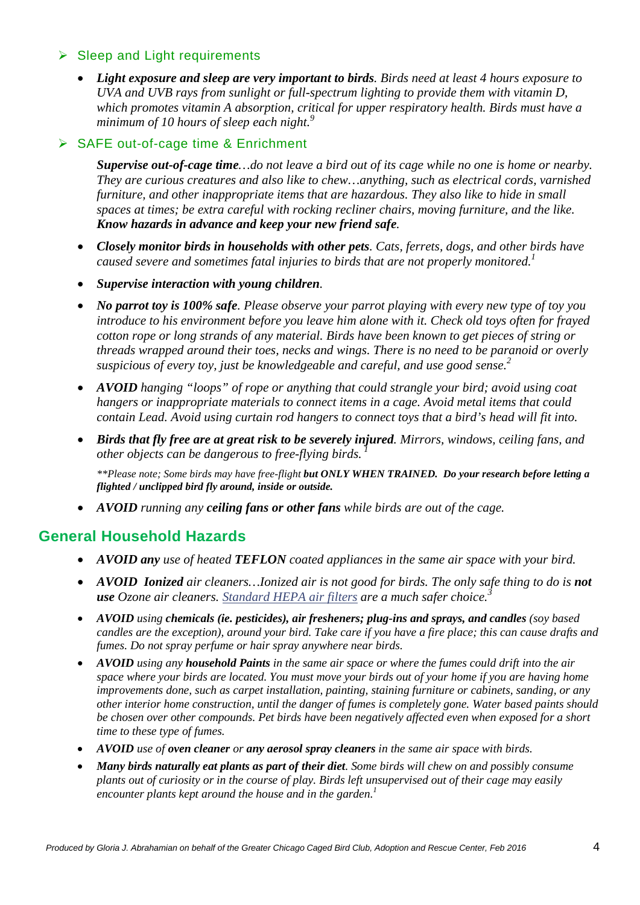#### $\triangleright$  Sleep and Light requirements

• *Light exposure and sleep are very important to birds. Birds need at least 4 hours exposure to UVA and UVB rays from sunlight or full-spectrum lighting to provide them with vitamin D, which promotes vitamin A absorption, critical for upper respiratory health. Birds must have a minimum of 10 hours of sleep each night.<sup>9</sup>*

#### **▶ SAFE out-of-cage time & Enrichment**

*Supervise out-of-cage time…do not leave a bird out of its cage while no one is home or nearby. They are curious creatures and also like to chew…anything, such as electrical cords, varnished furniture, and other inappropriate items that are hazardous. They also like to hide in small spaces at times; be extra careful with rocking recliner chairs, moving furniture, and the like. Know hazards in advance and keep your new friend safe.*

- *Closely monitor birds in households with other pets. Cats, ferrets, dogs, and other birds have caused severe and sometimes fatal injuries to birds that are not properly monitored.*<sup>1</sup>
- *Supervise interaction with young children.*
- *No parrot toy is 100% safe. Please observe your parrot playing with every new type of toy you introduce to his environment before you leave him alone with it. Check old toys often for frayed cotton rope or long strands of any material. Birds have been known to get pieces of string or threads wrapped around their toes, necks and wings. There is no need to be paranoid or overly suspicious of every toy, just be knowledgeable and careful, and use good sense.2*
- *AVOID hanging "loops" of rope or anything that could strangle your bird; avoid using coat hangers or inappropriate materials to connect items in a cage. Avoid metal items that could contain Lead. Avoid using curtain rod hangers to connect toys that a bird's head will fit into.*
- *Birds that fly free are at great risk to be severely injured. Mirrors, windows, ceiling fans, and other objects can be dangerous to free-flying birds. <sup>1</sup>*

*\*\*Please note; Some birds may have free-flight but ONLY WHEN TRAINED. Do your research before letting a flighted / unclipped bird fly around, inside or outside.*

• *AVOID running any ceiling fans or other fans while birds are out of the cage.*

### **General Household Hazards**

- *AVOID any use of heated TEFLON coated appliances in the same air space with your bird.*
- *AVOID Ionized air cleaners...Ionized air is not good for birds. The only safe thing to do is not use Ozone air cleaners. [Standard HEPA air filters](http://www.greenandhealthy.info/airfiltrationsystems.htm) are a much safer choice.3*
- *AVOID using chemicals (ie. pesticides), air fresheners; plug-ins and sprays, and candles (soy based candles are the exception), around your bird. Take care if you have a fire place; this can cause drafts and fumes. Do not spray perfume or hair spray anywhere near birds.*
- *AVOID using any household Paints in the same air space or where the fumes could drift into the air space where your birds are located. You must move your birds out of your home if you are having home improvements done, such as carpet installation, painting, staining furniture or cabinets, sanding, or any other interior home construction, until the danger of fumes is completely gone. Water based paints should be chosen over other compounds. Pet birds have been negatively affected even when exposed for a short time to these type of fumes.*
- *AVOID use of oven cleaner or any aerosol spray cleaners in the same air space with birds.*
- *Many birds naturally eat plants as part of their diet. Some birds will chew on and possibly consume plants out of curiosity or in the course of play. Birds left unsupervised out of their cage may easily encounter plants kept around the house and in the garden. 1*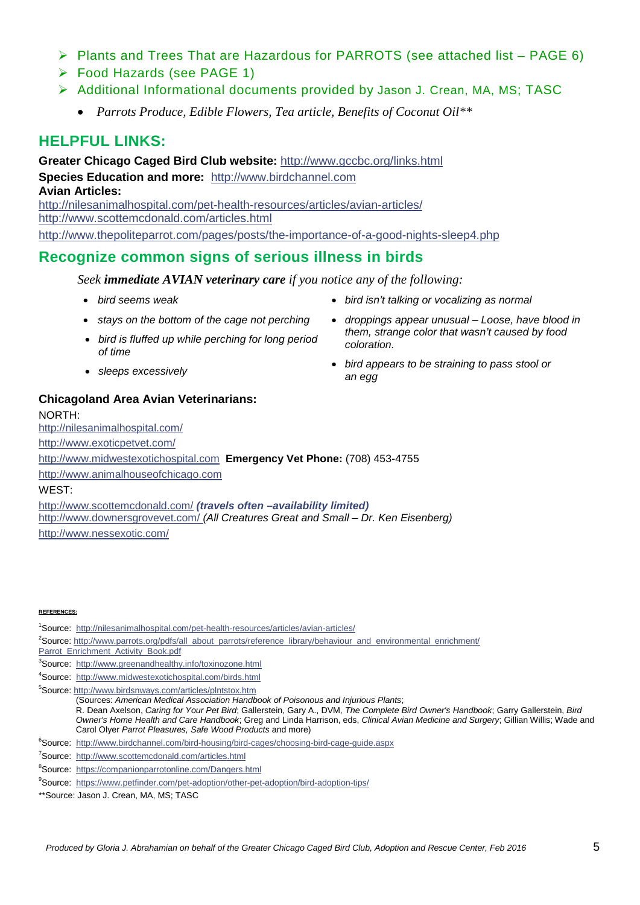- Plants and Trees That are Hazardous for PARROTS (see attached list PAGE 6)
- Food Hazards (see PAGE 1)
- Additional Informational documents provided by Jason J. Crean, MA, MS; TASC
	- *Parrots Produce, Edible Flowers, Tea article, Benefits of Coconut Oil\*\**

#### **HELPFUL LINKS:**

**Greater Chicago Caged Bird Club website:** <http://www.gccbc.org/links.html> **Species Education and more:** [http://www.birdchannel.com](http://www.birdchannel.com/) **Avian Articles:** <http://nilesanimalhospital.com/pet-health-resources/articles/avian-articles/> <http://www.scottemcdonald.com/articles.html> <http://www.thepoliteparrot.com/pages/posts/the-importance-of-a-good-nights-sleep4.php>

#### **Recognize common signs of serious illness in birds**

*Seek immediate AVIAN veterinary care if you notice any of the following:*

- *bird seems weak*
- *stavs on the bottom of the cage not perching*
- *bird is fluffed up while perching for long period of time*
- *sleeps excessively*
- *bird isn't talking or vocalizing as normal*
- *droppings appear unusual – Loose, have blood in them, strange color that wasn't caused by food coloration.*
- *bird appears to be straining to pass stool or an egg*

#### **Chicagoland Area Avian Veterinarians:**

NORTH: <http://nilesanimalhospital.com/> <http://www.exoticpetvet.com/> [http://www.midwestexotichospital.com](http://www.midwestexotichospital.com/) **Emergency Vet Phone:** (708) 453-4755 [http://www.animalhouseofchicago.com](http://www.animalhouseofchicago.com/locations/illinois/chicago-animal-house-of-chicago/veterinarians) WEST: <http://www.scottemcdonald.com/> *(travels often –availability limited)* <http://www.downersgrovevet.com/> *(All Creatures Great and Small – Dr. Ken Eisenberg)*

<http://www.nessexotic.com/>

#### **REFERENCES:**

<sup>1</sup>Source: <http://nilesanimalhospital.com/pet-health-resources/articles/avian-articles/>

<sup>2</sup>Source[: http://www.parrots.org/pdfs/all\\_about\\_parrots/reference\\_library/behaviour\\_and\\_environmental\\_enrichment/](http://www.parrots.org/pdfs/all_about_parrots/reference_library/behaviour_and_environmental_enrichment/%0bParrot_Enrichment_Activity_Book.pdf)

[Parrot\\_Enrichment\\_Activity\\_Book.pdf](http://www.parrots.org/pdfs/all_about_parrots/reference_library/behaviour_and_environmental_enrichment/%0bParrot_Enrichment_Activity_Book.pdf)

<sup>3</sup>Source: <http://www.greenandhealthy.info/toxinozone.html>

4 Source: <http://www.midwestexotichospital.com/birds.html>

5 Source[: http://www.birdsnways.com/articles/plntstox.htm](http://www.birdsnways.com/articles/plntstox.htm) (Sources: *American Medical Association Handbook of Poisonous and Injurious Plants*;

- R. Dean Axelson, *Caring for Your Pet Bird*; Gallerstein, Gary A., DVM, *The Complete Bird Owner's Handbook*; Garry Gallerstein, *Bird Owner's Home Health and Care Handbook*; Greg and Linda Harrison, eds, *Clinical Avian Medicine and Surgery*; Gillian Willis; Wade and Carol Olyer *Parrot Pleasures, Safe Wood Products* and more)
- <sup>6</sup>Source: <http://www.birdchannel.com/bird-housing/bird-cages/choosing-bird-cage-guide.aspx>
- <sup>7</sup>Source: http://www.scottemcdonald.com/articles.html
- <sup>8</sup>Source: <https://companionparrotonline.com/Dangers.html>
- <sup>9</sup>Source: <https://www.petfinder.com/pet-adoption/other-pet-adoption/bird-adoption-tips/>
- \*\*Source: Jason J. Crean, MA, MS; TASC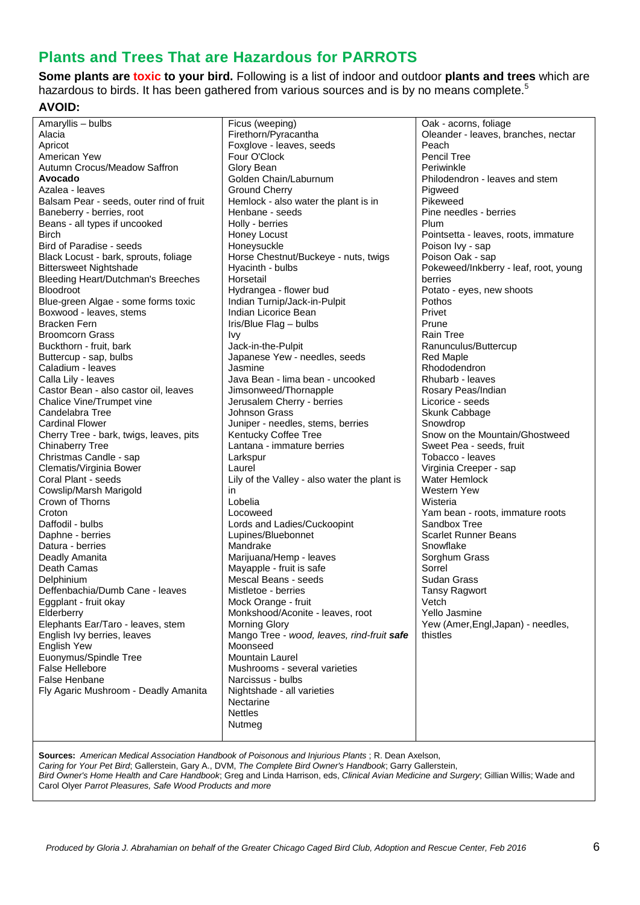### **Plants and Trees That are Hazardous for PARROTS**

**Some plants are toxic to your bird.** Following is a list of indoor and outdoor **plants and trees** which are hazardous to birds. It has been gathered from various sources and is by no means complete.<sup>5</sup>

#### **AVOID:**

| Amaryllis - bulbs                        | Ficus (weeping)                              | Oak - acorns, foliage                 |
|------------------------------------------|----------------------------------------------|---------------------------------------|
| Alacia                                   | Firethorn/Pyracantha                         | Oleander - leaves, branches, nectar   |
| Apricot                                  | Foxglove - leaves, seeds                     | Peach                                 |
| American Yew                             | Four O'Clock                                 | <b>Pencil Tree</b>                    |
| Autumn Crocus/Meadow Saffron             | Glory Bean                                   | Periwinkle                            |
| Avocado                                  | Golden Chain/Laburnum                        | Philodendron - leaves and stem        |
| Azalea - leaves                          | <b>Ground Cherry</b>                         | Pigweed                               |
| Balsam Pear - seeds, outer rind of fruit | Hemlock - also water the plant is in         | Pikeweed                              |
|                                          |                                              | Pine needles - berries                |
| Baneberry - berries, root                | Henbane - seeds                              |                                       |
| Beans - all types if uncooked            | Holly - berries                              | Plum                                  |
| <b>Birch</b>                             | Honey Locust                                 | Pointsetta - leaves, roots, immature  |
| Bird of Paradise - seeds                 | Honeysuckle                                  | Poison Ivy - sap                      |
| Black Locust - bark, sprouts, foliage    | Horse Chestnut/Buckeye - nuts, twigs         | Poison Oak - sap                      |
| <b>Bittersweet Nightshade</b>            | Hyacinth - bulbs                             | Pokeweed/Inkberry - leaf, root, young |
| Bleeding Heart/Dutchman's Breeches       | Horsetail                                    | berries                               |
| <b>Bloodroot</b>                         | Hydrangea - flower bud                       | Potato - eyes, new shoots             |
| Blue-green Algae - some forms toxic      | Indian Turnip/Jack-in-Pulpit                 | Pothos                                |
| Boxwood - leaves, stems                  | Indian Licorice Bean                         | Privet                                |
| <b>Bracken Fern</b>                      | Iris/Blue Flag - bulbs                       | Prune                                 |
| <b>Broomcorn Grass</b>                   |                                              | Rain Tree                             |
|                                          | <b>Ivy</b>                                   |                                       |
| Buckthorn - fruit, bark                  | Jack-in-the-Pulpit                           | Ranunculus/Buttercup                  |
| Buttercup - sap, bulbs                   | Japanese Yew - needles, seeds                | <b>Red Maple</b>                      |
| Caladium - leaves                        | Jasmine                                      | Rhododendron                          |
| Calla Lily - leaves                      | Java Bean - lima bean - uncooked             | Rhubarb - leaves                      |
| Castor Bean - also castor oil, leaves    | Jimsonweed/Thornapple                        | Rosary Peas/Indian                    |
| Chalice Vine/Trumpet vine                | Jerusalem Cherry - berries                   | Licorice - seeds                      |
| Candelabra Tree                          | <b>Johnson Grass</b>                         | Skunk Cabbage                         |
| <b>Cardinal Flower</b>                   | Juniper - needles, stems, berries            | Snowdrop                              |
| Cherry Tree - bark, twigs, leaves, pits  | Kentucky Coffee Tree                         | Snow on the Mountain/Ghostweed        |
| <b>Chinaberry Tree</b>                   | Lantana - immature berries                   | Sweet Pea - seeds, fruit              |
| Christmas Candle - sap                   | Larkspur                                     | Tobacco - leaves                      |
| Clematis/Virginia Bower                  | Laurel                                       | Virginia Creeper - sap                |
| Coral Plant - seeds                      | Lily of the Valley - also water the plant is | Water Hemlock                         |
|                                          |                                              | Western Yew                           |
| Cowslip/Marsh Marigold                   | in                                           |                                       |
| Crown of Thorns                          | Lobelia                                      | Wisteria                              |
| Croton                                   | Locoweed                                     | Yam bean - roots, immature roots      |
| Daffodil - bulbs                         | Lords and Ladies/Cuckoopint                  | Sandbox Tree                          |
| Daphne - berries                         | Lupines/Bluebonnet                           | <b>Scarlet Runner Beans</b>           |
| Datura - berries                         | Mandrake                                     | Snowflake                             |
| Deadly Amanita                           | Marijuana/Hemp - leaves                      | Sorghum Grass                         |
| Death Camas                              | Mayapple - fruit is safe                     | Sorrel                                |
| Delphinium                               | Mescal Beans - seeds                         | <b>Sudan Grass</b>                    |
| Deffenbachia/Dumb Cane - leaves          | Mistletoe - berries                          | <b>Tansy Ragwort</b>                  |
| Eggplant - fruit okay                    | Mock Orange - fruit                          | Vetch                                 |
| Elderberry                               | Monkshood/Aconite - leaves, root             | Yello Jasmine                         |
| Elephants Ear/Taro - leaves, stem        | <b>Morning Glory</b>                         | Yew (Amer, Engl, Japan) - needles,    |
| English Ivy berries, leaves              | Mango Tree - wood, leaves, rind-fruit safe   | thistles                              |
|                                          | Moonseed                                     |                                       |
| <b>English Yew</b>                       |                                              |                                       |
| Euonymus/Spindle Tree                    | <b>Mountain Laurel</b>                       |                                       |
| <b>False Hellebore</b>                   | Mushrooms - several varieties                |                                       |
| False Henbane                            | Narcissus - bulbs                            |                                       |
| Fly Agaric Mushroom - Deadly Amanita     | Nightshade - all varieties                   |                                       |
|                                          | Nectarine                                    |                                       |
|                                          | <b>Nettles</b>                               |                                       |
|                                          | Nutmeg                                       |                                       |
|                                          |                                              |                                       |

**Sources:** *American Medical Association Handbook of Poisonous and Injurious Plants* ; R. Dean Axelson,

*Caring for Your Pet Bird*; Gallerstein, Gary A., DVM, *The Complete Bird Owner's Handbook*; Garry Gallerstein,

*Bird Owner's Home Health and Care Handbook*; Greg and Linda Harrison, eds, *Clinical Avian Medicine and Surgery*; Gillian Willis; Wade and Carol Olyer *Parrot Pleasures, Safe Wood Products and more*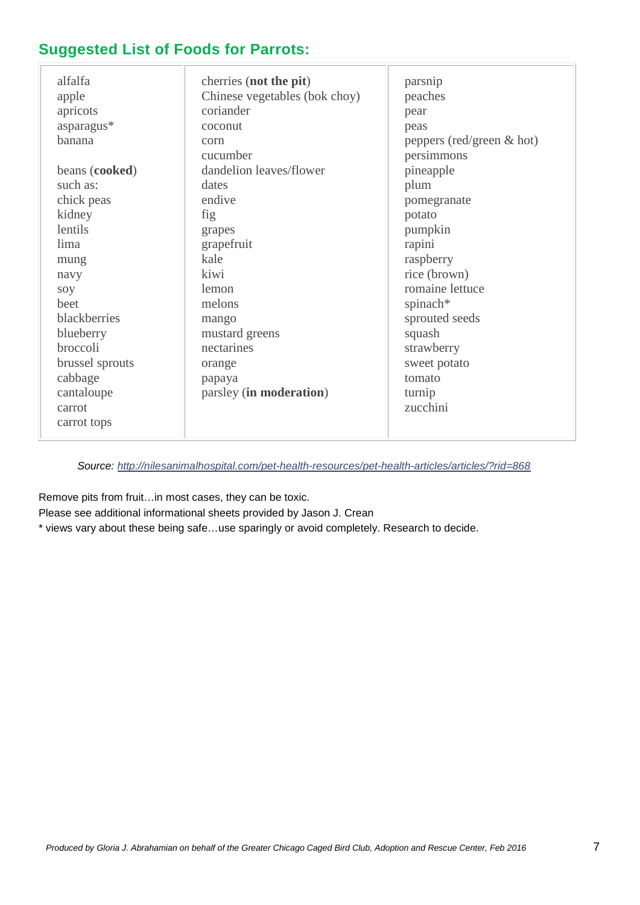### **Suggested List of Foods for Parrots:**

| alfalfa<br>apple<br>apricots<br>asparagus*<br>banana<br>beans (cooked)<br>such as:<br>chick peas<br>kidney<br>lentils<br>lima<br>mung<br>navy<br>soy<br>beet<br>blackberries<br>blueberry<br>broccoli<br>brussel sprouts | cherries (not the pit)<br>Chinese vegetables (bok choy)<br>coriander<br>coconut<br>corn<br>cucumber<br>dandelion leaves/flower<br>dates<br>endive<br>fig<br>grapes<br>grapefruit<br>kale<br>kiwi<br>lemon<br>melons<br>mango<br>mustard greens<br>nectarines<br>orange | parsnip<br>peaches<br>pear<br>peas<br>peppers (red/green $\&$ hot)<br>persimmons<br>pineapple<br>plum<br>pomegranate<br>potato<br>pumpkin<br>rapini<br>raspberry<br>rice (brown)<br>romaine lettuce<br>spinach*<br>sprouted seeds<br>squash<br>strawberry<br>sweet potato<br>tomato |
|--------------------------------------------------------------------------------------------------------------------------------------------------------------------------------------------------------------------------|------------------------------------------------------------------------------------------------------------------------------------------------------------------------------------------------------------------------------------------------------------------------|-------------------------------------------------------------------------------------------------------------------------------------------------------------------------------------------------------------------------------------------------------------------------------------|
|                                                                                                                                                                                                                          |                                                                                                                                                                                                                                                                        |                                                                                                                                                                                                                                                                                     |
| cabbage                                                                                                                                                                                                                  | papaya                                                                                                                                                                                                                                                                 |                                                                                                                                                                                                                                                                                     |
| cantaloupe<br>carrot<br>carrot tops                                                                                                                                                                                      | parsley (in moderation)                                                                                                                                                                                                                                                | turnip<br>zucchini                                                                                                                                                                                                                                                                  |

*Source:<http://nilesanimalhospital.com/pet-health-resources/pet-health-articles/articles/?rid=868>*

Remove pits from fruit…in most cases, they can be toxic.

Please see additional informational sheets provided by Jason J. Crean

\* views vary about these being safe…use sparingly or avoid completely. Research to decide.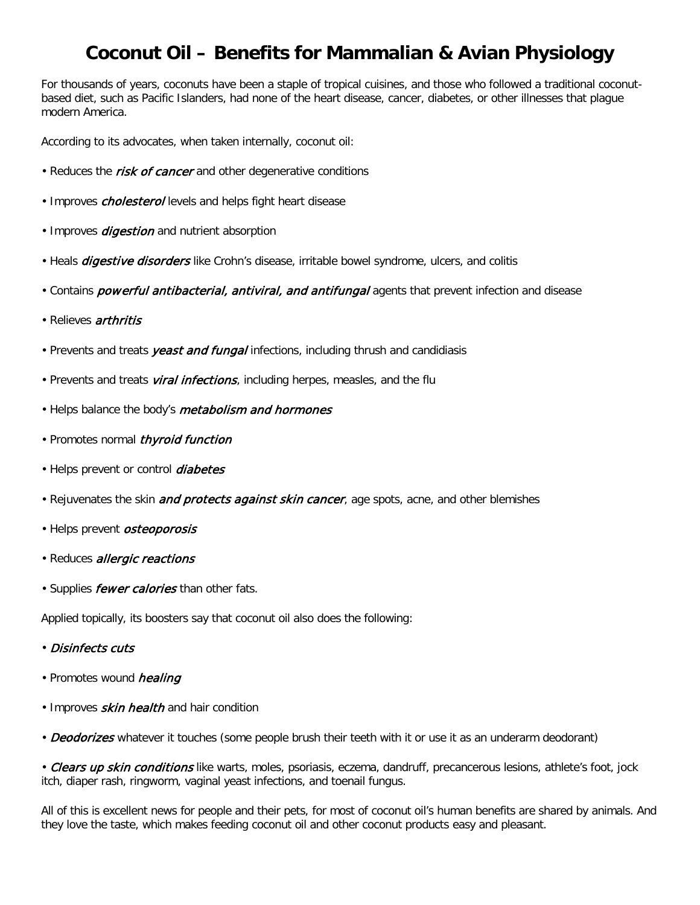## **Coconut Oil – Benefits for Mammalian & Avian Physiology**

For thousands of years, coconuts have been a staple of tropical cuisines, and those who followed a traditional coconutbased diet, such as Pacific Islanders, had none of the heart disease, cancer, diabetes, or other illnesses that plague modern America.

According to its advocates, when taken internally, coconut oil:

- Reduces the *risk of cancer* and other degenerative conditions
- Improves *cholesterol* levels and helps fight heart disease
- Improves *digestion* and nutrient absorption
- Heals *digestive disorders* like Crohn's disease, irritable bowel syndrome, ulcers, and colitis
- Contains *powerful antibacterial, antiviral, and antifungal* agents that prevent infection and disease
- Relieves *arthritis*
- Prevents and treats *yeast and fungal* infections, including thrush and candidiasis
- Prevents and treats *viral infections*, including herpes, measles, and the flu
- Helps balance the body's *metabolism and hormones*
- Promotes normal *thyroid function*
- Helps prevent or control *diabetes*
- Rejuvenates the skin *and protects against skin cancer*, age spots, acne, and other blemishes
- Helps prevent *osteoporosis*
- Reduces *allergic reactions*
- Supplies *fewer calories* than other fats.

Applied topically, its boosters say that coconut oil also does the following:

- Disinfects cuts
- Promotes wound healing
- Improves *skin health* and hair condition

• Deodorizes whatever it touches (some people brush their teeth with it or use it as an underarm deodorant)

• Clears up skin conditions like warts, moles, psoriasis, eczema, dandruff, precancerous lesions, athlete's foot, jock itch, diaper rash, ringworm, vaginal yeast infections, and toenail fungus.

All of this is excellent news for people and their pets, for most of coconut oil's human benefits are shared by animals. And they love the taste, which makes feeding coconut oil and other coconut products easy and pleasant.